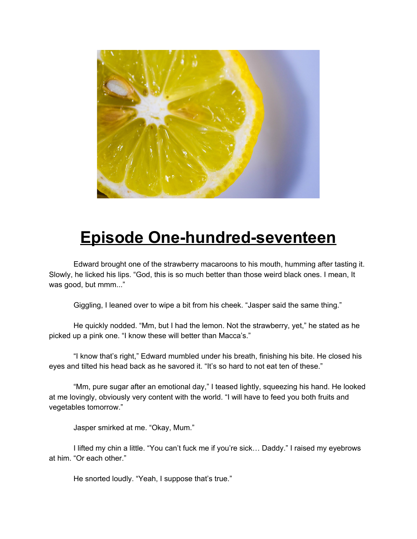

## **Episode One-hundred-seventeen**

Edward brought one of the strawberry macaroons to his mouth, humming after tasting it. Slowly, he licked his lips. "God, this is so much better than those weird black ones. I mean, It was good, but mmm..."

Giggling, I leaned over to wipe a bit from his cheek. "Jasper said the same thing."

He quickly nodded. "Mm, but I had the lemon. Not the strawberry, yet," he stated as he picked up a pink one. "I know these will better than Macca's."

"I know that's right," Edward mumbled under his breath, finishing his bite. He closed his eyes and tilted his head back as he savored it. "It's so hard to not eat ten of these."

"Mm, pure sugar after an emotional day," I teased lightly, squeezing his hand. He looked at me lovingly, obviously very content with the world. "I will have to feed you both fruits and vegetables tomorrow."

Jasper smirked at me. "Okay, Mum."

I lifted my chin a little. "You can't fuck me if you're sick… Daddy." I raised my eyebrows at him. "Or each other."

He snorted loudly. "Yeah, I suppose that's true."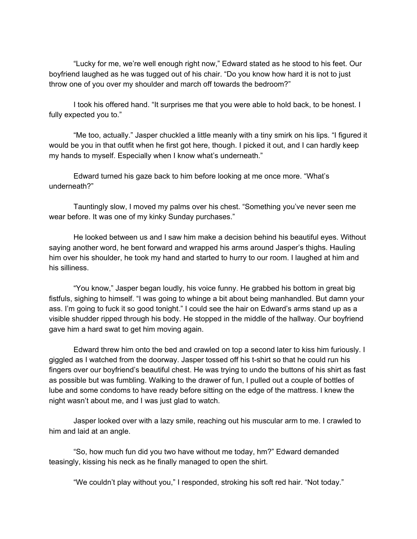"Lucky for me, we're well enough right now," Edward stated as he stood to his feet. Our boyfriend laughed as he was tugged out of his chair. "Do you know how hard it is not to just throw one of you over my shoulder and march off towards the bedroom?"

I took his offered hand. "It surprises me that you were able to hold back, to be honest. I fully expected you to."

"Me too, actually." Jasper chuckled a little meanly with a tiny smirk on his lips. "I figured it would be you in that outfit when he first got here, though. I picked it out, and I can hardly keep my hands to myself. Especially when I know what's underneath."

Edward turned his gaze back to him before looking at me once more. "What's underneath?"

Tauntingly slow, I moved my palms over his chest. "Something you've never seen me wear before. It was one of my kinky Sunday purchases."

He looked between us and I saw him make a decision behind his beautiful eyes. Without saying another word, he bent forward and wrapped his arms around Jasper's thighs. Hauling him over his shoulder, he took my hand and started to hurry to our room. I laughed at him and his silliness.

"You know," Jasper began loudly, his voice funny. He grabbed his bottom in great big fistfuls, sighing to himself. "I was going to whinge a bit about being manhandled. But damn your ass. I'm going to fuck it so good tonight." I could see the hair on Edward's arms stand up as a visible shudder ripped through his body. He stopped in the middle of the hallway. Our boyfriend gave him a hard swat to get him moving again.

Edward threw him onto the bed and crawled on top a second later to kiss him furiously. I giggled as I watched from the doorway. Jasper tossed off his t-shirt so that he could run his fingers over our boyfriend's beautiful chest. He was trying to undo the buttons of his shirt as fast as possible but was fumbling. Walking to the drawer of fun, I pulled out a couple of bottles of lube and some condoms to have ready before sitting on the edge of the mattress. I knew the night wasn't about me, and I was just glad to watch.

Jasper looked over with a lazy smile, reaching out his muscular arm to me. I crawled to him and laid at an angle.

"So, how much fun did you two have without me today, hm?" Edward demanded teasingly, kissing his neck as he finally managed to open the shirt.

"We couldn't play without you," I responded, stroking his soft red hair. "Not today."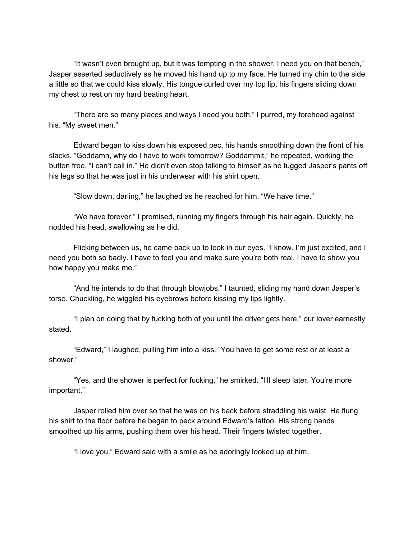"It wasn't even brought up, but it was tempting in the shower. I need you on that bench," Jasper asserted seductively as he moved his hand up to my face. He turned my chin to the side a little so that we could kiss slowly. His tongue curled over my top lip, his fingers sliding down my chest to rest on my hard beating heart.

"There are so many places and ways I need you both," I purred, my forehead against his. "My sweet men."

Edward began to kiss down his exposed pec, his hands smoothing down the front of his slacks. "Goddamn, why do I have to work tomorrow? Goddammit," he repeated, working the button free. "I can't call in." He didn't even stop talking to himself as he tugged Jasper's pants off his legs so that he was just in his underwear with his shirt open.

"Slow down, darling," he laughed as he reached for him. "We have time."

"We have forever," I promised, running my fingers through his hair again. Quickly, he nodded his head, swallowing as he did.

Flicking between us, he came back up to look in our eyes. "I know. I'm just excited, and I need you both so badly. I have to feel you and make sure you're both real. I have to show you how happy you make me."

"And he intends to do that through blowjobs," I taunted, sliding my hand down Jasper's torso. Chuckling, he wiggled his eyebrows before kissing my lips lightly.

"I plan on doing that by fucking both of you until the driver gets here," our lover earnestly stated.

"Edward," I laughed, pulling him into a kiss. "You have to get some rest or at least a shower."

"Yes, and the shower is perfect for fucking," he smirked. "I'll sleep later. You're more important."

Jasper rolled him over so that he was on his back before straddling his waist. He flung his shirt to the floor before he began to peck around Edward's tattoo. His strong hands smoothed up his arms, pushing them over his head. Their fingers twisted together.

"I love you," Edward said with a smile as he adoringly looked up at him.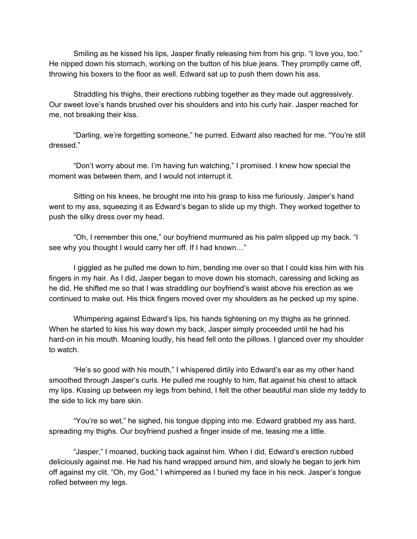Smiling as he kissed his lips, Jasper finally releasing him from his grip. "I love you, too." He nipped down his stomach, working on the button of his blue jeans. They promptly came off, throwing his boxers to the floor as well. Edward sat up to push them down his ass.

Straddling his thighs, their erections rubbing together as they made out aggressively. Our sweet love's hands brushed over his shoulders and into his curly hair. Jasper reached for me, not breaking their kiss.

"Darling, we're forgetting someone," he purred. Edward also reached for me. "You're still dressed."

"Don't worry about me. I'm having fun watching," I promised. I knew how special the moment was between them, and I would not interrupt it.

Sitting on his knees, he brought me into his grasp to kiss me furiously. Jasper's hand went to my ass, squeezing it as Edward's began to slide up my thigh. They worked together to push the silky dress over my head.

"Oh, I remember this one," our boyfriend murmured as his palm slipped up my back. "I see why you thought I would carry her off. If I had known…"

I giggled as he pulled me down to him, bending me over so that I could kiss him with his fingers in my hair. As I did, Jasper began to move down his stomach, caressing and licking as he did. He shifted me so that I was straddling our boyfriend's waist above his erection as we continued to make out. His thick fingers moved over my shoulders as he pecked up my spine.

Whimpering against Edward's lips, his hands tightening on my thighs as he grinned. When he started to kiss his way down my back, Jasper simply proceeded until he had his hard-on in his mouth. Moaning loudly, his head fell onto the pillows. I glanced over my shoulder to watch.

"He's so good with his mouth," I whispered dirtily into Edward's ear as my other hand smoothed through Jasper's curls. He pulled me roughly to him, flat against his chest to attack my lips. Kissing up between my legs from behind, I felt the other beautiful man slide my teddy to the side to lick my bare skin.

"You're so wet," he sighed, his tongue dipping into me. Edward grabbed my ass hard, spreading my thighs. Our boyfriend pushed a finger inside of me, teasing me a little.

"Jasper," I moaned, bucking back against him. When I did, Edward's erection rubbed deliciously against me. He had his hand wrapped around him, and slowly he began to jerk him off against my clit. "Oh, my God," I whimpered as I buried my face in his neck. Jasper's tongue rolled between my legs.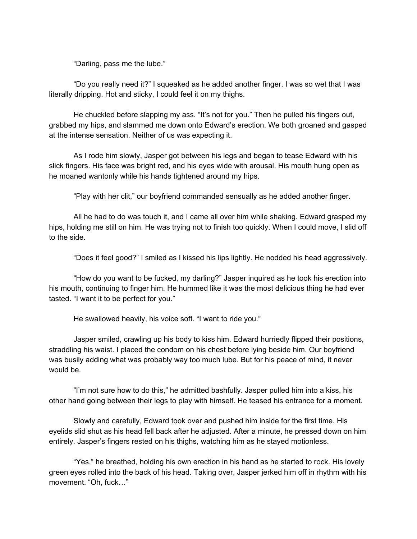"Darling, pass me the lube."

"Do you really need it?" I squeaked as he added another finger. I was so wet that I was literally dripping. Hot and sticky, I could feel it on my thighs.

He chuckled before slapping my ass. "It's not for you." Then he pulled his fingers out, grabbed my hips, and slammed me down onto Edward's erection. We both groaned and gasped at the intense sensation. Neither of us was expecting it.

As I rode him slowly, Jasper got between his legs and began to tease Edward with his slick fingers. His face was bright red, and his eyes wide with arousal. His mouth hung open as he moaned wantonly while his hands tightened around my hips.

"Play with her clit," our boyfriend commanded sensually as he added another finger.

All he had to do was touch it, and I came all over him while shaking. Edward grasped my hips, holding me still on him. He was trying not to finish too quickly. When I could move, I slid off to the side.

"Does it feel good?" I smiled as I kissed his lips lightly. He nodded his head aggressively.

"How do you want to be fucked, my darling?" Jasper inquired as he took his erection into his mouth, continuing to finger him. He hummed like it was the most delicious thing he had ever tasted. "I want it to be perfect for you."

He swallowed heavily, his voice soft. "I want to ride you."

Jasper smiled, crawling up his body to kiss him. Edward hurriedly flipped their positions, straddling his waist. I placed the condom on his chest before lying beside him. Our boyfriend was busily adding what was probably way too much lube. But for his peace of mind, it never would be.

"I'm not sure how to do this," he admitted bashfully. Jasper pulled him into a kiss, his other hand going between their legs to play with himself. He teased his entrance for a moment.

Slowly and carefully, Edward took over and pushed him inside for the first time. His eyelids slid shut as his head fell back after he adjusted. After a minute, he pressed down on him entirely. Jasper's fingers rested on his thighs, watching him as he stayed motionless.

"Yes," he breathed, holding his own erection in his hand as he started to rock. His lovely green eyes rolled into the back of his head. Taking over, Jasper jerked him off in rhythm with his movement. "Oh, fuck…"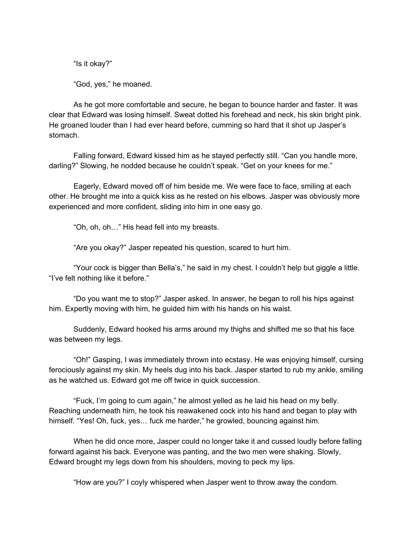"Is it okay?"

"God, yes," he moaned.

As he got more comfortable and secure, he began to bounce harder and faster. It was clear that Edward was losing himself. Sweat dotted his forehead and neck, his skin bright pink. He groaned louder than I had ever heard before, cumming so hard that it shot up Jasper's stomach.

Falling forward, Edward kissed him as he stayed perfectly still. "Can you handle more, darling?" Slowing, he nodded because he couldn't speak. "Get on your knees for me."

Eagerly, Edward moved off of him beside me. We were face to face, smiling at each other. He brought me into a quick kiss as he rested on his elbows. Jasper was obviously more experienced and more confident, sliding into him in one easy go.

"Oh, oh, oh…" His head fell into my breasts.

"Are you okay?" Jasper repeated his question, scared to hurt him.

"Your cock is bigger than Bella's," he said in my chest. I couldn't help but giggle a little. "I've felt nothing like it before."

"Do you want me to stop?" Jasper asked. In answer, he began to roll his hips against him. Expertly moving with him, he guided him with his hands on his waist.

Suddenly, Edward hooked his arms around my thighs and shifted me so that his face was between my legs.

"Oh!" Gasping, I was immediately thrown into ecstasy. He was enjoying himself, cursing ferociously against my skin. My heels dug into his back. Jasper started to rub my ankle, smiling as he watched us. Edward got me off twice in quick succession.

"Fuck, I'm going to cum again," he almost yelled as he laid his head on my belly. Reaching underneath him, he took his reawakened cock into his hand and began to play with himself. "Yes! Oh, fuck, yes... fuck me harder," he growled, bouncing against him.

When he did once more, Jasper could no longer take it and cussed loudly before falling forward against his back. Everyone was panting, and the two men were shaking. Slowly, Edward brought my legs down from his shoulders, moving to peck my lips.

"How are you?" I coyly whispered when Jasper went to throw away the condom.